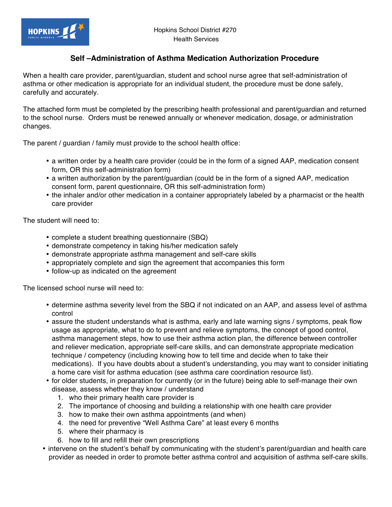## **Self –Administration of Asthma Medication Authorization Procedure**

When a health care provider, parent/guardian, student and school nurse agree that self-administration of asthma or other medication is appropriate for an individual student, the procedure must be done safely, carefully and accurately.

The attached form must be completed by the prescribing health professional and parent/guardian and returned to the school nurse. Orders must be renewed annually or whenever medication, dosage, or administration changes.

The parent / guardian / family must provide to the school health office:

- a written order by a health care provider (could be in the form of a signed AAP, medication consent form, OR this self-administration form)
- a written authorization by the parent/guardian (could be in the form of a signed AAP, medication consent form, parent questionnaire, OR this self-administration form)
- the inhaler and/or other medication in a container appropriately labeled by a pharmacist or the health care provider

The student will need to:

- complete a student breathing questionnaire (SBQ)
- demonstrate competency in taking his/her medication safely
- demonstrate appropriate asthma management and self-care skills
- appropriately complete and sign the agreement that accompanies this form
- follow-up as indicated on the agreement

The licensed school nurse will need to:

- determine asthma severity level from the SBQ if not indicated on an AAP, and assess level of asthma control
- assure the student understands what is asthma, early and late warning signs / symptoms, peak flow usage as appropriate, what to do to prevent and relieve symptoms, the concept of good control, asthma management steps, how to use their asthma action plan, the difference between controller and reliever medication, appropriate self-care skills, and can demonstrate appropriate medication technique / competency (including knowing how to tell time and decide when to take their medications). If you have doubts about a student's understanding, you may want to consider initiating a home care visit for asthma education (see asthma care coordination resource list).
- for older students, in preparation for currently (or in the future) being able to self-manage their own disease, assess whether they know / understand
	- 1. who their primary health care provider is
	- 2. The importance of choosing and building a relationship with one health care provider
	- 3. how to make their own asthma appointments (and when)
	- 4. the need for preventive "Well Asthma Care" at least every 6 months
	- 5. where their pharmacy is
	- 6. how to fill and refill their own prescriptions
- intervene on the student's behalf by communicating with the student's parent/guardian and health care provider as needed in order to promote better asthma control and acquisition of asthma self-care skills.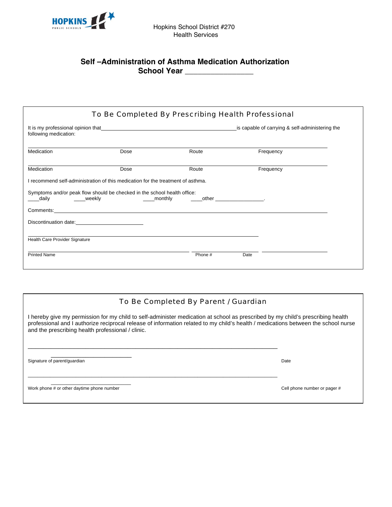

## **Self –Administration of Asthma Medication Authorization**  School Year

| following medication:          | It is my professional opinion that example and the control of the control of the control of the control of the control of the control of the control of the control of the control of the control of the control of the contro |       | is capable of carrying & self-administering the |  |
|--------------------------------|--------------------------------------------------------------------------------------------------------------------------------------------------------------------------------------------------------------------------------|-------|-------------------------------------------------|--|
| Medication                     | Dose                                                                                                                                                                                                                           | Route | Frequency                                       |  |
| Medication                     | Dose                                                                                                                                                                                                                           | Route | Frequency                                       |  |
|                                | I recommend self-administration of this medication for the treatment of asthma.<br>Symptoms and/or peak flow should be checked in the school health office:                                                                    |       |                                                 |  |
| ____daily     ____weekly       | Comments: New York State State State State State State State State State State State State State State State State State State State State State State State State State State State State State State State State State State |       |                                                 |  |
|                                |                                                                                                                                                                                                                                |       |                                                 |  |
| Health Care Provider Signature |                                                                                                                                                                                                                                |       |                                                 |  |

## To Be Completed By Parent / Guardian

I hereby give my permission for my child to self-administer medication at school as prescribed by my child's prescribing health professional and I authorize reciprocal release of information related to my child's health / medications between the school nurse and the prescribing health professional / clinic.

\_\_\_\_\_\_\_\_\_\_\_\_\_\_\_\_\_\_\_\_\_\_\_\_\_\_\_\_\_\_\_\_\_\_\_\_\_\_\_\_\_\_\_\_\_\_\_\_\_\_\_\_\_\_\_\_\_\_\_\_\_\_\_\_\_

\_\_\_\_\_\_\_\_\_\_\_\_\_\_\_\_\_\_\_\_\_\_\_\_\_\_\_\_\_\_\_\_\_\_\_\_\_\_\_\_\_\_\_\_\_\_\_\_\_\_\_\_\_\_\_\_\_\_\_\_\_\_\_\_\_\_\_\_\_\_\_\_\_\_\_\_\_\_

 $\overline{\phantom{a}}$  ,  $\overline{\phantom{a}}$  ,  $\overline{\phantom{a}}$  ,  $\overline{\phantom{a}}$  ,  $\overline{\phantom{a}}$  ,  $\overline{\phantom{a}}$  ,  $\overline{\phantom{a}}$  ,  $\overline{\phantom{a}}$  ,  $\overline{\phantom{a}}$  ,  $\overline{\phantom{a}}$  ,  $\overline{\phantom{a}}$  ,  $\overline{\phantom{a}}$  ,  $\overline{\phantom{a}}$  ,  $\overline{\phantom{a}}$  ,  $\overline{\phantom{a}}$  ,  $\overline{\phantom{a}}$ Signature of parent/guardian and all the control of the control of the Date Date

 $\overline{\phantom{a}}$  ,  $\overline{\phantom{a}}$  ,  $\overline{\phantom{a}}$  ,  $\overline{\phantom{a}}$  ,  $\overline{\phantom{a}}$  ,  $\overline{\phantom{a}}$  ,  $\overline{\phantom{a}}$  ,  $\overline{\phantom{a}}$  ,  $\overline{\phantom{a}}$  ,  $\overline{\phantom{a}}$  ,  $\overline{\phantom{a}}$  ,  $\overline{\phantom{a}}$  ,  $\overline{\phantom{a}}$  ,  $\overline{\phantom{a}}$  ,  $\overline{\phantom{a}}$  ,  $\overline{\phantom{a}}$ Work phone # or other daytime phone number complex and the complex of the complex of the Cell phone number or pager #